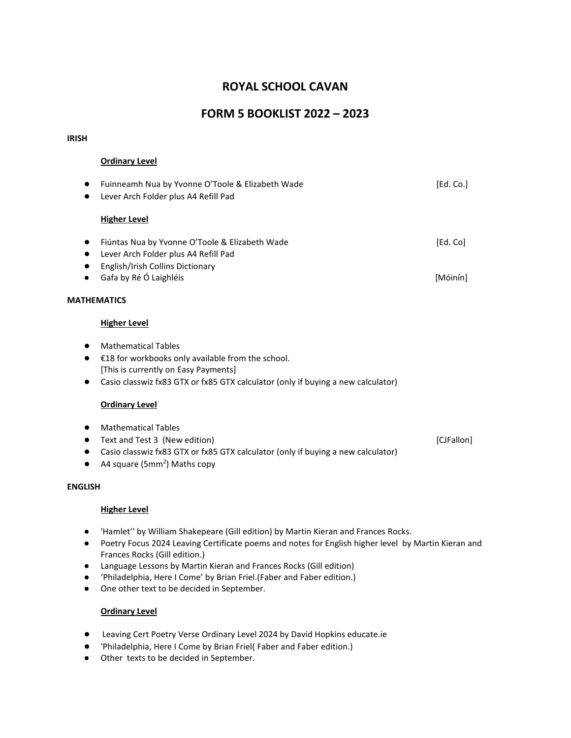# **ROYAL SCHOOL CAVAN**

# **FORM 5 BOOKLIST 2022 – 2023**

#### **IRISH**

## **Ordinary Level**

| $\bullet$      | Fuinneamh Nua by Yvonne O'Toole & Elizabeth Wade                                 | [Ed. Co.]  |
|----------------|----------------------------------------------------------------------------------|------------|
|                | Lever Arch Folder plus A4 Refill Pad                                             |            |
|                | <b>Higher Level</b>                                                              |            |
| $\bullet$      | Fiúntas Nua by Yvonne O'Toole & Elizabeth Wade                                   | [Ed. Co]   |
| $\bullet$      | Lever Arch Folder plus A4 Refill Pad                                             |            |
|                | English/Irish Collins Dictionary                                                 |            |
|                | Gafa by Ré Ó Laighléis                                                           | [Móinín]   |
|                | <b>MATHEMATICS</b>                                                               |            |
|                | <b>Higher Level</b>                                                              |            |
|                | <b>Mathematical Tables</b>                                                       |            |
|                | €18 for workbooks only available from the school.                                |            |
|                | [This is currently on Easy Payments]                                             |            |
|                | Casio classwiz fx83 GTX or fx85 GTX calculator (only if buying a new calculator) |            |
|                | <b>Ordinary Level</b>                                                            |            |
|                | <b>Mathematical Tables</b>                                                       |            |
|                | Text and Test 3 (New edition)                                                    | [CJFallon] |
|                | Casio classwiz fx83 GTX or fx85 GTX calculator (only if buying a new calculator) |            |
|                | A4 square (5mm <sup>2</sup> ) Maths copy                                         |            |
| <b>ENGLISH</b> |                                                                                  |            |
|                | <b>Higher Level</b>                                                              |            |

- 'Hamlet'' by William Shakepeare (Gill edition) by Martin Kieran and Frances Rocks.
- Poetry Focus 2024 Leaving Certificate poems and notes for English higher level by Martin Kieran and Frances Rocks (Gill edition.)
- Language Lessons by Martin Kieran and Frances Rocks (Gill edition)
- 'Philadelphia, Here I Come' by Brian Friel.(Faber and Faber edition.)
- One other text to be decided in September.

# **Ordinary Level**

- Leaving Cert Poetry Verse Ordinary Level 2024 by David Hopkins educate.ie
- 'Philadelphia, Here I Come by Brian Friel( Faber and Faber edition.)
- Other texts to be decided in September.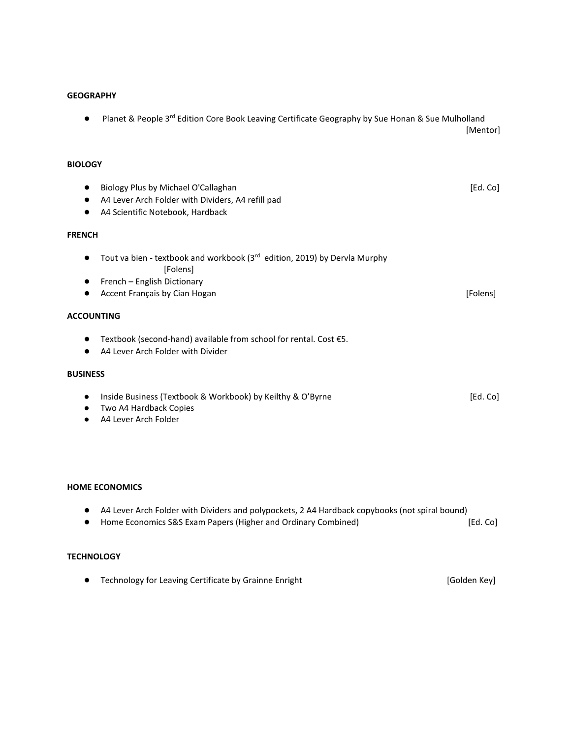### **GEOGRAPHY**

● Planet & People 3<sup>rd</sup> Edition Core Book Leaving Certificate Geography by Sue Honan & Sue Mulholland [Mentor]

# **BIOLOGY**

| $\bullet$         | Biology Plus by Michael O'Callaghan<br>A4 Lever Arch Folder with Dividers, A4 refill pad<br>A4 Scientific Notebook, Hardback                                      | [Ed. Co] |
|-------------------|-------------------------------------------------------------------------------------------------------------------------------------------------------------------|----------|
| <b>FRENCH</b>     |                                                                                                                                                                   |          |
|                   | Tout va bien - textbook and workbook (3 <sup>rd</sup> edition, 2019) by Dervla Murphy<br>[Folens]<br>French - English Dictionary<br>Accent Français by Cian Hogan | [Folens] |
| <b>ACCOUNTING</b> |                                                                                                                                                                   |          |
|                   | Textbook (second-hand) available from school for rental. Cost €5.<br>A4 Lever Arch Folder with Divider                                                            |          |
| <b>BUSINESS</b>   |                                                                                                                                                                   |          |
| ٠<br>٠            | Inside Business (Textbook & Workbook) by Keilthy & O'Byrne<br>Two A4 Hardback Copies<br>A4 Lever Arch Folder                                                      | [Ed. Co] |

#### **HOME ECONOMICS**

- A4 Lever Arch Folder with Dividers and polypockets, 2 A4 Hardback copybooks (not spiral bound)
- Home Economics S&S Exam Papers (Higher and Ordinary Combined) [Ed. Co]

# **TECHNOLOGY**

● Technology for Leaving Certificate by Grainne Enright **[Golden Key]** [Golden Key]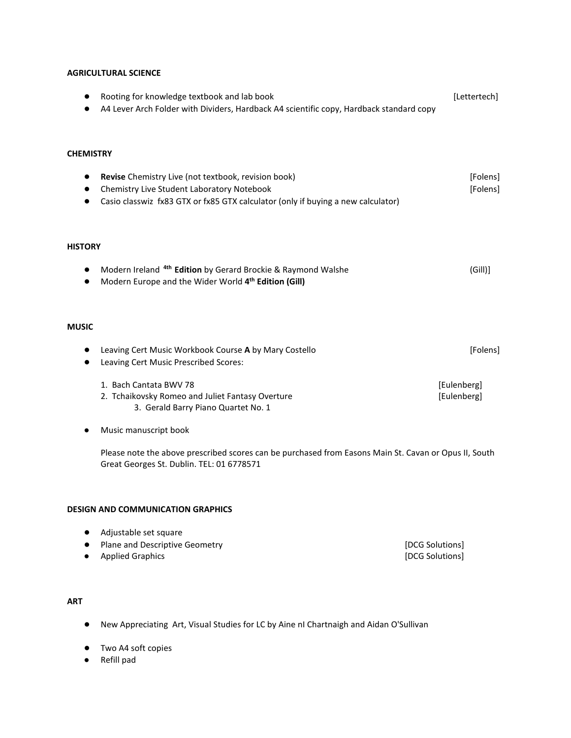## **AGRICULTURAL SCIENCE**

|                               | Rooting for knowledge textbook and lab book<br>A4 Lever Arch Folder with Dividers, Hardback A4 scientific copy, Hardback standard copy                                                | [Lettertech]            |
|-------------------------------|---------------------------------------------------------------------------------------------------------------------------------------------------------------------------------------|-------------------------|
| <b>CHEMISTRY</b><br>$\bullet$ | Revise Chemistry Live (not textbook, revision book)<br>Chemistry Live Student Laboratory Notebook<br>Casio classwiz fx83 GTX or fx85 GTX calculator (only if buying a new calculator) | [Folens]<br>[Folens]    |
| <b>HISTORY</b><br>$\bullet$   | Modern Ireland <sup>4th</sup> Edition by Gerard Brockie & Raymond Walshe<br>Modern Europe and the Wider World 4 <sup>th</sup> Edition (Gill)                                          | (Gill)]                 |
| <b>MUSIC</b>                  | Leaving Cert Music Workbook Course A by Mary Costello<br>Leaving Cert Music Prescribed Scores:<br>1. Bach Cantata BWV 78                                                              | [Folens]<br>[Eulenberg] |
|                               | 2. Tchaikovsky Romeo and Juliet Fantasy Overture<br>3. Gerald Barry Piano Quartet No. 1<br>Music manuscript book                                                                      | [Eulenberg]             |

Please note the above prescribed scores can be purchased from Easons Main St. Cavan or Opus II, South Great Georges St. Dublin. TEL: 01 6778571

#### **DESIGN AND COMMUNICATION GRAPHICS**

- Adjustable set square
- Plane and Descriptive Geometry **because the control of the COS** Solutions [DCG Solutions]
- Applied Graphics [DCG Solutions]

# **ART**

- New Appreciating Art, Visual Studies for LC by Aine nI Chartnaigh and Aidan O'Sullivan
- Two A4 soft copies
- Refill pad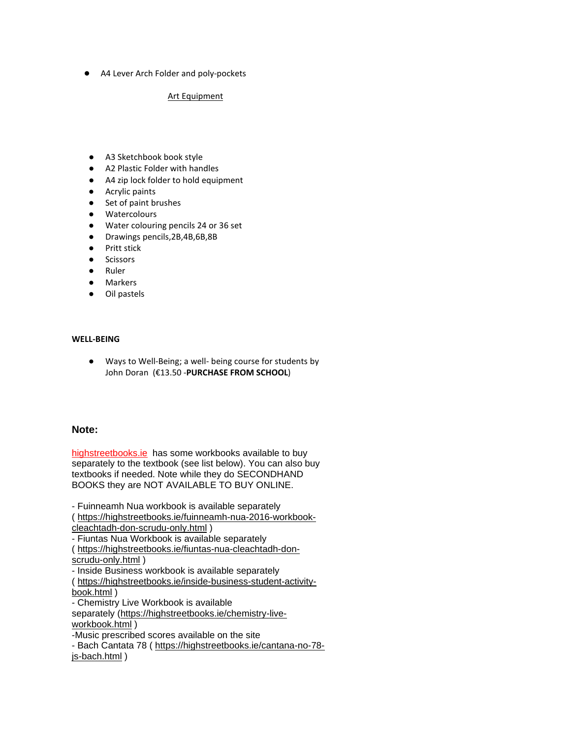● A4 Lever Arch Folder and poly-pockets

#### Art Equipment

- A3 Sketchbook book style
- A2 Plastic Folder with handles
- A4 zip lock folder to hold equipment
- Acrylic paints
- Set of paint brushes
- Watercolours
- Water colouring pencils 24 or 36 set
- Drawings pencils,2B,4B,6B,8B
- Pritt stick
- Scissors
- **Ruler**
- Markers
- Oil pastels

# **WELL-BEING**

● Ways to Well-Being; a well- being course for students by John Doran (€13.50 -**PURCHASE FROM SCHOOL**)

# **Note:**

[highstreetbooks.ie](http://highstreetbooks.ie/) has some workbooks available to buy separately to the textbook (see list below). You can also buy textbooks if needed. Note while they do SECONDHAND BOOKS they are NOT AVAILABLE TO BUY ONLINE.

- Fuinneamh Nua workbook is available separately ( [https://highstreetbooks.ie/fuinneamh-nua-2016-workbook-](https://highstreetbooks.ie/fuinneamh-nua-2016-workbook-cleachtadh-don-scrudu-only.html)

[cleachtadh-don-scrudu-only.html](https://highstreetbooks.ie/fuinneamh-nua-2016-workbook-cleachtadh-don-scrudu-only.html) ) - Fiuntas Nua Workbook is available separately ( [https://highstreetbooks.ie/fiuntas-nua-cleachtadh-don](https://highstreetbooks.ie/fiuntas-nua-cleachtadh-don-scrudu-only.html)[scrudu-only.html](https://highstreetbooks.ie/fiuntas-nua-cleachtadh-don-scrudu-only.html) )

- Inside Business workbook is available separately

( [https://highstreetbooks.ie/inside-business-student-activity](https://highstreetbooks.ie/inside-business-student-activity-book.html)[book.html](https://highstreetbooks.ie/inside-business-student-activity-book.html) )

- Chemistry Live Workbook is available

separately [\(https://highstreetbooks.ie/chemistry-live](https://highstreetbooks.ie/chemistry-live-workbook.html)[workbook.html](https://highstreetbooks.ie/chemistry-live-workbook.html) )

-Music prescribed scores available on the site

- Bach Cantata 78 ( [https://highstreetbooks.ie/cantana-no-78](https://highstreetbooks.ie/cantana-no-78-js-bach.html) [js-bach.html](https://highstreetbooks.ie/cantana-no-78-js-bach.html) )